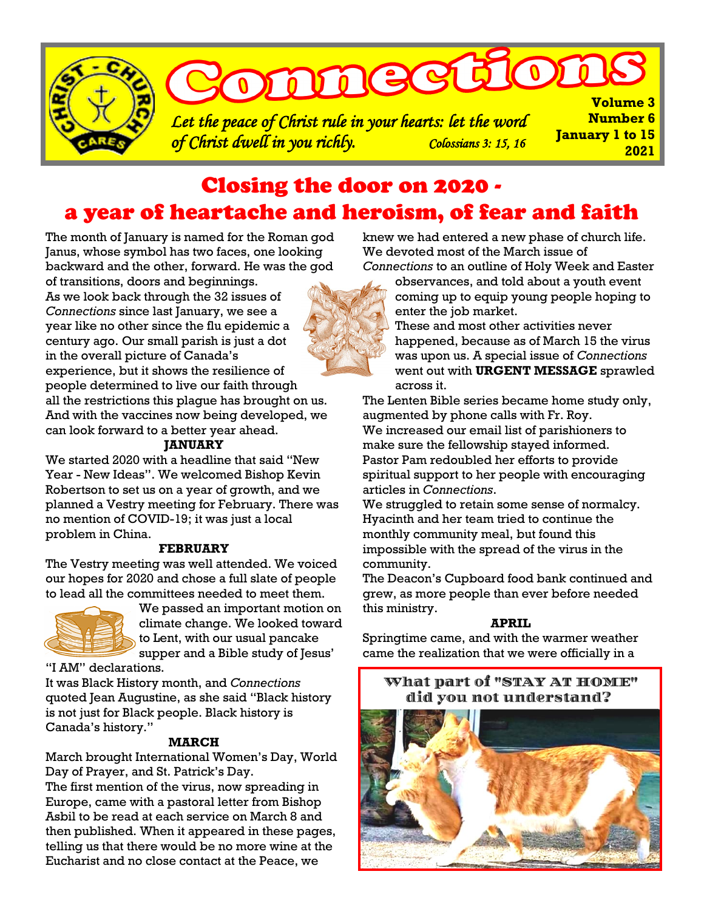

# Closing the door on 2020 a year of heartache and heroism, of fear and faith

The month of January is named for the Roman god Janus, whose symbol has two faces, one looking backward and the other, forward. He was the god of transitions, doors and beginnings.



As we look back through the 32 issues of *Connections* since last January, we see a year like no other since the flu epidemic a century ago. Our small parish is just a dot in the overall picture of Canada's experience, but it shows the resilience of people determined to live our faith through all the restrictions this plague has brought on us. And with the vaccines now being developed, we can look forward to a better year ahead.

#### **JANUARY**

We started 2020 with a headline that said "New Year - New Ideas". We welcomed Bishop Kevin Robertson to set us on a year of growth, and we planned a Vestry meeting for February. There was no mention of COVID-19; it was just a local problem in China.

#### **FEBRUARY**

The Vestry meeting was well attended. We voiced our hopes for 2020 and chose a full slate of people to lead all the committees needed to meet them.



We passed an important motion on climate change. We looked toward to Lent, with our usual pancake supper and a Bible study of Jesus'

"I AM" declarations.

It was Black History month, and *Connections*  quoted Jean Augustine, as she said "Black history is not just for Black people. Black history is Canada's history."

#### **MARCH**

March brought International Women's Day, World Day of Prayer, and St. Patrick's Day.

The first mention of the virus, now spreading in Europe, came with a pastoral letter from Bishop Asbil to be read at each service on March 8 and then published. When it appeared in these pages, telling us that there would be no more wine at the Eucharist and no close contact at the Peace, we

knew we had entered a new phase of church life. We devoted most of the March issue of *Connections* to an outline of Holy Week and Easter

observances, and told about a youth event coming up to equip young people hoping to enter the job market.

These and most other activities never happened, because as of March 15 the virus was upon us. A special issue of *Connections* went out with **URGENT MESSAGE** sprawled across it.

The Lenten Bible series became home study only, augmented by phone calls with Fr. Roy. We increased our email list of parishioners to make sure the fellowship stayed informed. Pastor Pam redoubled her efforts to provide spiritual support to her people with encouraging articles in *Connections*.

We struggled to retain some sense of normalcy. Hyacinth and her team tried to continue the monthly community meal, but found this impossible with the spread of the virus in the community.

The Deacon's Cupboard food bank continued and grew, as more people than ever before needed this ministry.

#### **APRIL**

Springtime came, and with the warmer weather came the realization that we were officially in a

## What part of "STAY AT HOME" did you not understand?

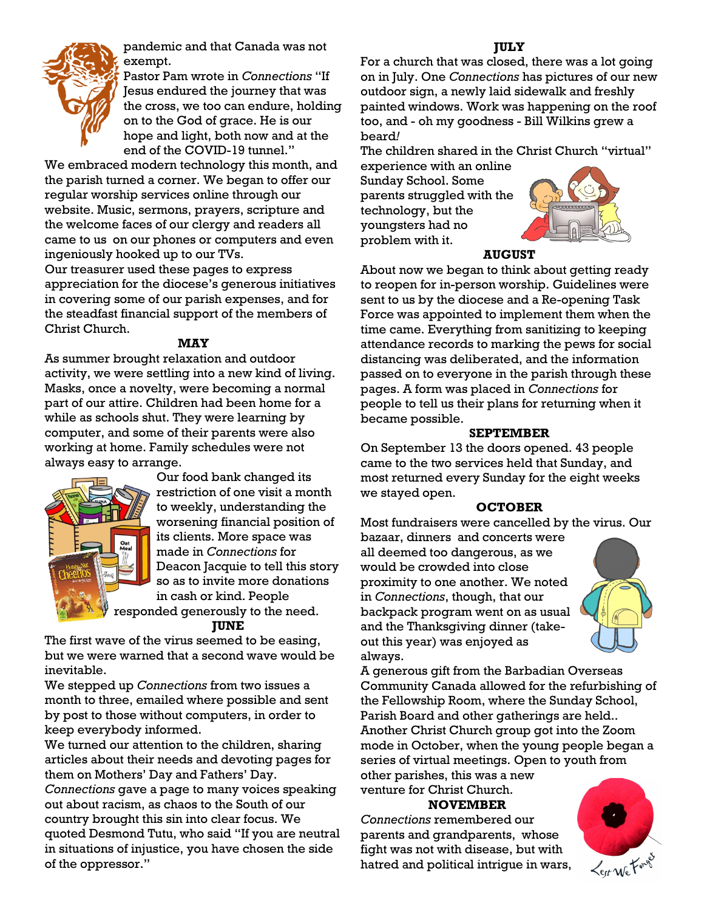

pandemic and that Canada was not exempt.

Pastor Pam wrote in *Connections* "If Jesus endured the journey that was the cross, we too can endure, holding on to the God of grace. He is our hope and light, both now and at the end of the COVID-19 tunnel."

We embraced modern technology this month, and the parish turned a corner. We began to offer our regular worship services online through our website. Music, sermons, prayers, scripture and the welcome faces of our clergy and readers all came to us on our phones or computers and even ingeniously hooked up to our TVs.

Our treasurer used these pages to express appreciation for the diocese's generous initiatives in covering some of our parish expenses, and for the steadfast financial support of the members of Christ Church.

#### **MAY**

As summer brought relaxation and outdoor activity, we were settling into a new kind of living. Masks, once a novelty, were becoming a normal part of our attire. Children had been home for a while as schools shut. They were learning by computer, and some of their parents were also working at home. Family schedules were not always easy to arrange.



Our food bank changed its restriction of one visit a month to weekly, understanding the worsening financial position of its clients. More space was made in *Connections* for Deacon Jacquie to tell this story so as to invite more donations in cash or kind. People responded generously to the need.

**JUNE**

The first wave of the virus seemed to be easing, but we were warned that a second wave would be inevitable.

We stepped up *Connections* from two issues a month to three, emailed where possible and sent by post to those without computers, in order to keep everybody informed.

We turned our attention to the children, sharing articles about their needs and devoting pages for them on Mothers' Day and Fathers' Day. *Connections* gave a page to many voices speaking out about racism, as chaos to the South of our country brought this sin into clear focus. We quoted Desmond Tutu, who said "If you are neutral in situations of injustice, you have chosen the side of the oppressor."

#### **JULY**

For a church that was closed, there was a lot going on in July. One *Connections* has pictures of our new outdoor sign, a newly laid sidewalk and freshly painted windows. Work was happening on the roof too, and - oh my goodness - Bill Wilkins grew a beard*!*

The children shared in the Christ Church "virtual" experience with an online

Sunday School. Some parents struggled with the technology, but the youngsters had no problem with it.



#### **AUGUST**

About now we began to think about getting ready to reopen for in-person worship. Guidelines were sent to us by the diocese and a Re-opening Task Force was appointed to implement them when the time came. Everything from sanitizing to keeping attendance records to marking the pews for social distancing was deliberated, and the information passed on to everyone in the parish through these pages. A form was placed in *Connections* for people to tell us their plans for returning when it became possible.

#### **SEPTEMBER**

On September 13 the doors opened. 43 people came to the two services held that Sunday, and most returned every Sunday for the eight weeks we stayed open.

#### **OCTOBER**

Most fundraisers were cancelled by the virus. Our

bazaar, dinners and concerts were all deemed too dangerous, as we would be crowded into close proximity to one another. We noted in *Connections*, though, that our backpack program went on as usual and the Thanksgiving dinner (takeout this year) was enjoyed as always.



A generous gift from the Barbadian Overseas Community Canada allowed for the refurbishing of the Fellowship Room, where the Sunday School, Parish Board and other gatherings are held.. Another Christ Church group got into the Zoom mode in October, when the young people began a series of virtual meetings. Open to youth from other parishes, this was a new

venture for Christ Church.

### **NOVEMBER**

*Connections* remembered our parents and grandparents, whose fight was not with disease, but with hatred and political intrigue in wars,